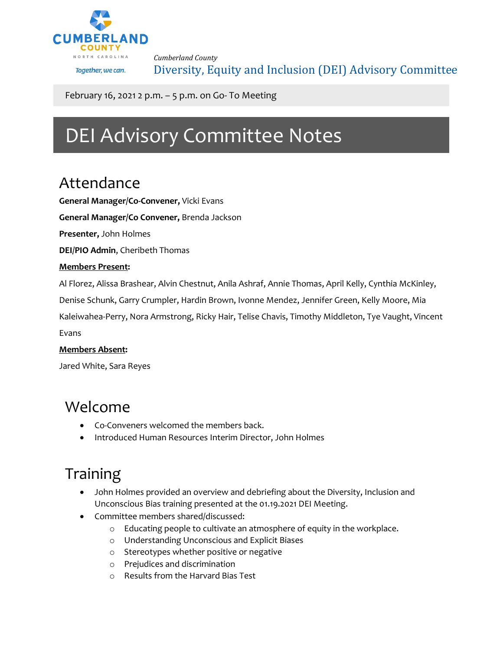

*Cumberland County* Diversity, Equity and Inclusion (DEI) Advisory Committee

February 16, 2021 2 p.m. – 5 p.m. on Go- To Meeting

# DEI Advisory Committee Notes

### Attendance

**General Manager/Co-Convener,** Vicki Evans

**General Manager/Co Convener,** Brenda Jackson

**Presenter,** John Holmes

**DEI/PIO Admin**, Cheribeth Thomas

#### **Members Present:**

Al Florez, Alissa Brashear, Alvin Chestnut, Anila Ashraf, Annie Thomas, April Kelly, Cynthia McKinley,

Denise Schunk, Garry Crumpler, Hardin Brown, Ivonne Mendez, Jennifer Green, Kelly Moore, Mia

Kaleiwahea-Perry, Nora Armstrong, Ricky Hair, Telise Chavis, Timothy Middleton, Tye Vaught, Vincent Evans

#### **Members Absent:**

Jared White, Sara Reyes

### Welcome

- Co-Conveners welcomed the members back.
- Introduced Human Resources Interim Director, John Holmes

# Training

- John Holmes provided an overview and debriefing about the Diversity, Inclusion and Unconscious Bias training presented at the 01.19.2021 DEI Meeting.
- Committee members shared/discussed:
	- o Educating people to cultivate an atmosphere of equity in the workplace.
	- o Understanding Unconscious and Explicit Biases
	- o Stereotypes whether positive or negative
	- o Prejudices and discrimination
	- o Results from the Harvard Bias Test